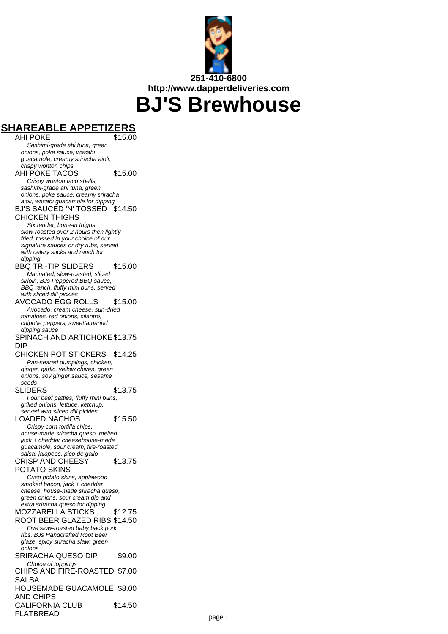

**SHAREABLE APPETIZERS AHI POKE** Sashimi-grade ahi tuna, green onions, poke sauce, wasabi guacamole, creamy sriracha aioli, crispy wonton chips AHI POKE TACOS \$15.00 Crispy wonton taco shells, sashimi-grade ahi tuna, green onions, poke sauce, creamy sriracha aioli, wasabi guacamole for dipping BJ'S SAUCED 'N' TOSSED \$14.50 CHICKEN THIGHS Six tender, bone-in thighs slow-roasted over 2 hours then lightly fried, tossed in your choice of our signature sauces or dry rubs, served with celery sticks and ranch for dipping BBQ TRI-TIP SLIDERS \$15.00 Marinated, slow-roasted, sliced sirloin, BJs Peppered BBQ sauce, BBQ ranch, fluffy mini buns, served with sliced dill pickles AVOCADO EGG ROLLS \$15.00 Avocado, cream cheese, sun-dried tomatoes, red onions, cilantro, chipotle peppers, sweettamarind dipping sauce SPINACH AND ARTICHOKE \$13.75 DIP CHICKEN POT STICKERS \$14.25 Pan-seared dumplings, chicken, ginger, garlic, yellow chives, green onions, soy ginger sauce, sesame seeds SLIDERS \$13.75 Four beef patties, fluffy mini buns, grilled onions, lettuce, ketchup, served with sliced dill pickles LOADED NACHOS \$15.50 Crispy corn tortilla chips, house-made sriracha queso, melted jack + cheddar cheesehouse-made guacamole, sour cream, fire-roasted salsa, jalapeos, pico de gallo CRISP AND CHEESY POTATO SKINS \$13.75 Crisp potato skins, applewood smoked bacon, jack + cheddar cheese, house-made sriracha queso, green onions, sour cream dip and extra sriracha queso for dipping MOZZARELLA STICKS \$12.75 ROOT BEER GLAZED RIBS \$14.50 Five slow-roasted baby back pork ribs, BJs Handcrafted Root Beer glaze, spicy sriracha slaw, green onions SRIRACHA QUESO DIP \$9.00 Choice of toppings CHIPS AND FIRE-ROASTED \$7.00 SALSA HOUSEMADE GUACAMOLE \$8.00 AND CHIPS CALIFORNIA CLUB FLATBREAD \$14.50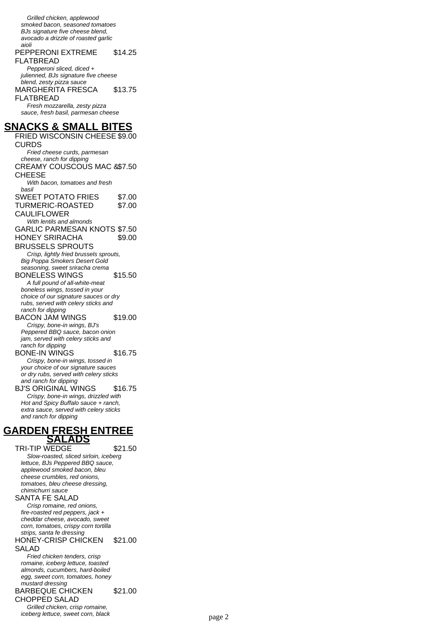Grilled chicken, applewood smoked bacon, seasoned tomatoes BJs signature five cheese blend, avocado a drizzle of roasted garlic aioli

#### PEPPERONI EXTREME FLATBREAD \$14.25

Pepperoni sliced. diced + julienned, BJs signature five cheese blend, zesty pizza sauce MARGHERITA FRESCA FLATBREAD \$13.75 Fresh mozzarella, zesty pizza sauce, fresh basil, parmesan cheese

# **SNACKS & SMALL BITES**

FRIED WISCONSIN CHEESE \$9.00 **CURDS** Fried cheese curds, parmesan cheese, ranch for dipping CREAMY COUSCOUS MAC & \$7.50 CHEESE With bacon, tomatoes and fresh basil SWEET POTATO FRIES \$7.00 TURMERIC-ROASTED CAULIFLOWER \$7.00 With lentils and almonds GARLIC PARMESAN KNOTS \$7.50 HONEY SRIRACHA BRUSSELS SPROUTS \$9.00 Crisp, lightly fried brussels sprouts, Big Poppa Smokers Desert Gold seasoning, sweet sriracha crema BONELESS WINGS \$15.50 A full pound of all-white-meat boneless wings, tossed in your choice of our signature sauces or dry rubs, served with celery sticks and ranch for dipping BACON JAM WINGS \$19.00 Crispy, bone-in wings, BJ's Peppered BBQ sauce, bacon onion jam, served with celery sticks and ranch for dipping BONE-IN WINGS \$16.75 Crispy, bone-in wings, tossed in your choice of our signature sauces or dry rubs, served with celery sticks and ranch for dipping BJ'S ORIGINAL WINGS \$16.75 Crispy, bone-in wings, drizzled with Hot and Spicy Buffalo sauce + ranch, extra sauce, served with celery sticks and ranch for dipping **GARDEN FRESH ENTREE SALADS** TRI-TIP WEDGE \$21.50 Slow-roasted, sliced sirloin, iceberg lettuce, BJs Peppered BBQ sauce, applewood smoked bacon, bleu cheese crumbles, red onions, tomatoes, bleu cheese dressing, chimichurri sauce SANTA FE SALAD Crisp romaine, red onions, fire-roasted red peppers, jack + cheddar cheese, avocado, sweet corn, tomatoes, crispy corn tortilla strips, santa fe dressing HONEY-CRISP CHICKEN SALAD \$21.00 Fried chicken tenders, crisp romaine, iceberg lettuce, toasted almonds, cucumbers, hard-boiled egg, sweet corn, tomatoes, honey mustard dressing

BARBEQUE CHICKEN \$21.00

CHOPPED SALAD Grilled chicken, crisp romaine,

iceberg lettuce, sweet corn, black page 2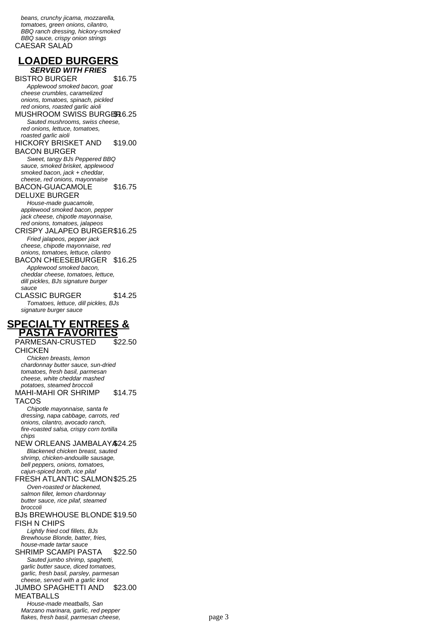beans, crunchy jicama, mozzarella, tomatoes, green onions, cilantro, BBQ ranch dressing, hickory-smoked BBQ sauce, crispy onion strings CAESAR SALAD

# **LOADED BURGERS SERVED WITH FRIES**

BISTRO BURGER \$16.75

Applewood smoked bacon, goat cheese crumbles, caramelized onions, tomatoes, spinach, pickled red onions, roasted garlic aioli MUSHROOM SWISS BURGER 6.25 Sauted mushrooms, swiss cheese, red onions, lettuce, tomatoes, roasted garlic aioli HICKORY BRISKET AND BACON BURGER \$19.00 Sweet, tangy BJs Peppered BBQ

sauce, smoked brisket, applewood smoked bacon, jack + cheddar, cheese, red onions, mayonnaise BACON-GUACAMOLE

DELUXE BURGER \$16.75

House-made guacamole, applewood smoked bacon, pepper jack cheese, chipotle mayonnaise, red onions, tomatoes, jalapeos

CRISPY JALAPEO BURGER\$16.25 Fried jalapeos, pepper jack cheese, chipotle mayonnaise, red onions, tomatoes, lettuce, cilantro

BACON CHEESEBURGER \$16.25 Applewood smoked bacon, cheddar cheese, tomatoes, lettuce, dill pickles, BJs signature burger

sauce CLASSIC BURGER \$14.25 Tomatoes, lettuce, dill pickles, BJs signature burger sauce

# **SPECIALTY ENTREES & PASTA FAVORITES**

PARMESAN-CRUSTED **CHICKEN** \$22.50

Chicken breasts, lemon chardonnay butter sauce, sun-dried tomatoes, fresh basil, parmesan cheese, white cheddar mashed potatoes, steamed broccoli MAHI-MAHI OR SHRIMP \$14.75

TACOS

Chipotle mayonnaise, santa fe dressing, napa cabbage, carrots, red onions, cilantro, avocado ranch, fire-roasted salsa, crispy corn tortilla chips

NEW ORLEANS JAMBALAY \$24.25

Blackened chicken breast, sauted shrimp, chicken-andouille sausage, bell peppers, onions, tomatoes, cajun-spiced broth, rice pilaf

FRESH ATLANTIC SALMON\$25.25 Oven-roasted or blackened,

salmon fillet, lemon chardonnay butter sauce, rice pilaf, steamed

### broccoli BJs BREWHOUSE BLONDE \$19.50 FISH N CHIPS

Lightly fried cod fillets, BJs Brewhouse Blonde, batter, fries, house-made tartar sauce

SHRIMP SCAMPI PASTA \$22.50 Sauted jumbo shrimp, spaghetti, garlic butter sauce, diced tomatoes,

garlic, fresh basil, parsley, parmesan cheese, served with a garlic knot

#### JUMBO SPAGHETTI AND MEATBALLS \$23.00

House-made meatballs, San Marzano marinara, garlic, red pepper flakes, fresh basil, parmesan cheese, page 3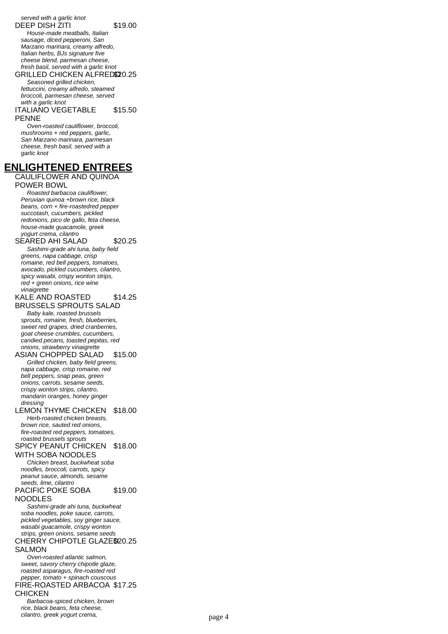served with a garlic knot DEEP DISH ZITI \$19.00

House-made meatballs, Italian sausage, diced pepperoni, San Marzano marinara, creamy alfredo, Italian herbs, BJs signature five cheese blend, parmesan cheese, fresh basil, served with a garlic knot

GRILLED CHICKEN ALFRED\$20.25 Seasoned grilled chicken, fettuccini, creamy alfredo, steamed broccoli, parmesan cheese, served

#### with a garlic knot ITALIANO VEGETABLE PENNE \$15.50

Oven-roasted cauliflower, broccoli, mushrooms + red peppers, garlic, San Marzano marinara, parmesan cheese, fresh basil, served with a garlic knot

# **ENLIGHTENED ENTREES**

CAULIFLOWER AND QUINOA POWER BOWL

Roasted barbacoa cauliflower, Peruvian quinoa +brown rice, black beans, corn + fire-roastedred pepper succotash, cucumbers, pickled redonions, pico de gallo, feta cheese, house-made guacamole, greek yogurt crema, cilantro

## SEARED AHI SALAD \$20.25 Sashimi-grade ahi tuna, baby field greens, napa cabbage, crisp romaine, red bell peppers, tomatoes,

avocado, pickled cucumbers, cilantro, spicy wasabi, crispy wonton strips, red + green onions, rice wine vinaigrette

#### KALE AND ROASTED \$14.25

BRUSSELS SPROUTS SALAD Baby kale, roasted brussels sprouts, romaine, fresh, blueberries, sweet red grapes, dried cranberries, goat cheese crumbles, cucumbers, candied pecans, toasted pepitas, red onions, strawberry vinaigrette

## ASIAN CHOPPED SALAD \$15.00 Grilled chicken, baby field greens,

napa cabbage, crisp romaine, red bell peppers, snap peas, green onions, carrots, sesame seeds, crispy wonton strips, cilantro, mandarin oranges, honey ginger dressing

## LEMON THYME CHICKEN \$18.00 Herb-roasted chicken breasts,

brown rice, sauted red onions, fire-roasted red peppers, tomatoes, roasted brussels sprouts SPICY PEANUT CHICKEN \$18.00

# WITH SOBA NOODLES

Chicken breast, buckwheat soba noodles, broccoli, carrots, spicy peanut sauce, almonds, sesame seeds, lime, cilantro PACIFIC POKE SOBA \$19.00

# NOODLES

Sashimi-grade ahi tuna, buckwheat soba noodles, poke sauce, carrots, pickled vegetables, soy ginger sauce, wasabi guacamole, crispy wonton strips, green onions, sesame seeds CHERRY CHIPOTLE GLAZE\$20.25 SALMON

Oven-roasted atlantic salmon, sweet, savory cherry chipotle glaze, roasted asparagus, fire-roasted red pepper, tomato + spinach couscous FIRE-ROASTED ARBACOA \$17.25 CHICKEN

Barbacoa-spiced chicken, brown rice, black beans, feta cheese, cilantro, greek yogurt crema, page 4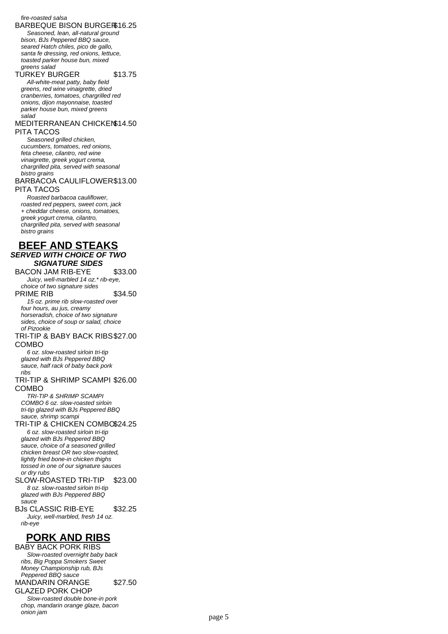### fire-roasted salsa

BARBEQUE BISON BURGER\$16.25

Seasoned, lean, all-natural ground bison, BJs Peppered BBQ sauce, seared Hatch chiles, pico de gallo, santa fe dressing, red onions, lettuce, toasted parker house bun, mixed greens salad

# TURKEY BURGER \$13.75

All-white-meat patty, baby field greens, red wine vinaigrette, dried cranberries, tomatoes, chargrilled red onions, dijon mayonnaise, toasted parker house bun, mixed greens salad

## MEDITERRANEAN CHICKEN \$14.50 PITA TACOS

Seasoned grilled chicken. cucumbers, tomatoes, red onions, feta cheese, cilantro, red wine vinaigrette, greek yogurt crema, chargrilled pita, served with seasonal bistro grains

## BARBACOA CAULIFLOWER \$13.00 PITA TACOS

Roasted barbacoa cauliflower, roasted red peppers, sweet corn, jack + cheddar cheese, onions, tomatoes, greek yogurt crema, cilantro, chargrilled pita, served with seasonal bistro grains

# **BEEF AND STEAKS SERVED WITH CHOICE OF TWO SIGNATURE SIDES**

BACON JAM RIB-EYE \$33.00 Juicy, well-marbled 14 oz.\* rib-eye,

choice of two signature sides PRIME RIB \$34.50

15 oz. prime rib slow-roasted over four hours, au jus, creamy horseradish, choice of two signature sides, choice of soup or salad, choice of Pizookie

## TRI-TIP & BABY BACK RIBS \$27.00 COMBO

6 oz. slow-roasted sirloin tri-tip glazed with BJs Peppered BBQ sauce, half rack of baby back pork ribs

## TRI-TIP & SHRIMP SCAMPI \$26.00 COMBO

TRI-TIP & SHRIMP SCAMPI COMBO 6 oz. slow-roasted sirloin tri-tip glazed with BJs Peppered BBQ sauce, shrimp scampi

# TRI-TIP & CHICKEN COMBO\$24.25

6 oz. slow-roasted sirloin tri-tip glazed with BJs Peppered BBQ sauce, choice of a seasoned grilled chicken breast OR two slow-roasted, lightly fried bone-in chicken thighs tossed in one of our signature sauces or dry rubs

## SLOW-ROASTED TRI-TIP \$23.00 8 oz. slow-roasted sirloin tri-tip glazed with BJs Peppered BBQ

sauce BJs CLASSIC RIB-EYE \$32.25 Juicy, well-marbled, fresh 14 oz. rib-eye

# **PORK AND RIBS**

BABY BACK PORK RIBS Slow-roasted overnight baby back ribs, Big Poppa Smokers Sweet Money Championship rub, BJs Peppered BBQ sauce MANDARIN ORANGE GLAZED PORK CHOP \$27.50 Slow-roasted double bone-in pork chop, mandarin orange glaze, bacon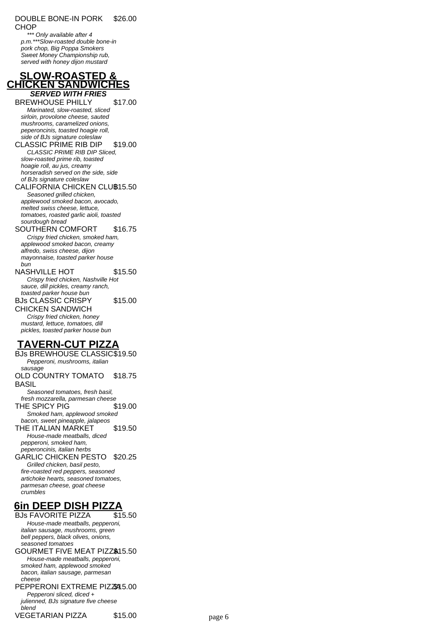#### DOUBLE BONE-IN PORK CHOP \$26.00

\*\* Only available after 4 p.m.\*\*\*Slow-roasted double bone-in pork chop, Big Poppa Smokers Sweet Money Championship rub, served with honey dijon mustard

# **SLOW-ROASTED & CHICKEN SANDWICHES SERVED WITH FRIES**

BREWHOUSE PHILLY \$17.00 Marinated, slow-roasted, sliced sirloin, provolone cheese, sauted mushrooms, caramelized onions, peperoncinis, toasted hoagie roll, side of BJs signature coleslaw CLASSIC PRIME RIB DIP \$19.00

# CLASSIC PRIME RIB DIP Sliced, slow-roasted prime rib, toasted

hoagie roll, au jus, creamy horseradish served on the side, side of BJs signature coleslaw

## CALIFORNIA CHICKEN CLUB15.50 Seasoned grilled chicken,

applewood smoked bacon, avocado, melted swiss cheese, lettuce, tomatoes, roasted garlic aioli, toasted sourdough bread

# SOUTHERN COMFORT \$16.75

Crispy fried chicken, smoked ham, applewood smoked bacon, creamy alfredo, swiss cheese, dijon mayonnaise, toasted parker house bun

#### NASHVILLE HOT \$15.50 Crispy fried chicken, Nashville Hot sauce, dill pickles, creamy ranch, toasted parker house bun BJs CLASSIC CRISPY \$15.00

CHICKEN SANDWICH

Crispy fried chicken, honey mustard, lettuce, tomatoes, dill pickles, toasted parker house bun

# **TAVERN-CUT PIZZA**

BJs BREWHOUSE CLASSIC\$19.50 Pepperoni, mushrooms, italian sausage OLD COUNTRY TOMATO BASIL \$18.75 Seasoned tomatoes, fresh basil, fresh mozzarella, parmesan cheese THE SPICY PIG
319.00 Smoked ham, applewood smoked bacon, sweet pineapple, jalapeos THE ITALIAN MARKET \$19.50 House-made meatballs, diced pepperoni, smoked ham, peperoncinis, italian herbs GARLIC CHICKEN PESTO \$20.25 Grilled chicken, basil pesto, fire-roasted red peppers, seasoned artichoke hearts, seasoned tomatoes, parmesan cheese, goat cheese

# **6in DEEP DISH PIZZA**

crumbles

BJs FAVORITE PIZZA \$15.50 House-made meatballs, pepperoni, italian sausage, mushrooms, green bell peppers, black olives, onions, seasoned tomatoes GOURMET FIVE MEAT PIZZ<sup>3</sup>45.50

House-made meatballs, pepperoni, smoked ham, applewood smoked bacon, italian sausage, parmesan cheese

### PEPPERONI EXTREME PIZZ445.00 Pepperoni sliced, diced + julienned, BJs signature five cheese blend

VEGETARIAN PIZZA \$15.00 page 6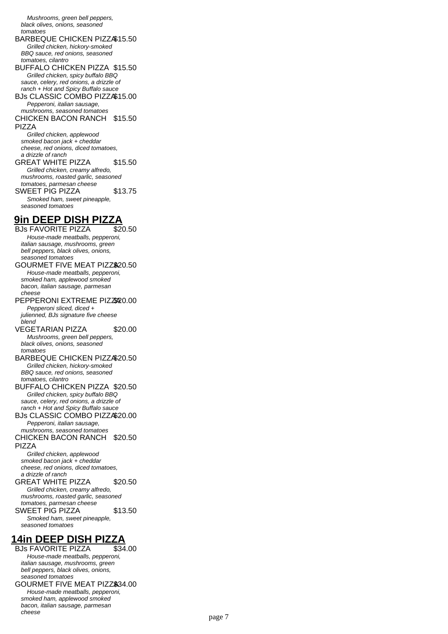Mushrooms, green bell peppers, black olives, onions, seasoned tomatoes

BARBEQUE CHICKEN PIZZA\$15.50 Grilled chicken, hickory-smoked

BBQ sauce, red onions, seasoned tomatoes, cilantro

- BUFFALO CHICKEN PIZZA \$15.50 Grilled chicken, spicy buffalo BBQ sauce, celery, red onions, a drizzle of ranch + Hot and Spicy Buffalo sauce
- BJs CLASSIC COMBO PIZZA\$15.00 Pepperoni, italian sausage, mushrooms, seasoned tomatoes
- CHICKEN BACON RANCH \$15.50 PIZZA

Grilled chicken, applewood smoked bacon jack + cheddar cheese, red onions, diced tomatoes, a drizzle of ranch

- GREAT WHITE PIZZA \$15.50 Grilled chicken, creamy alfredo, mushrooms, roasted garlic, seasoned tomatoes, parmesan cheese SWEET PIG PIZZA \$13.75 Smoked ham, sweet pineapple, seasoned tomatoes
- **9in DEEP DISH PIZZA**

BJs FAVORITE PIZZA \$20.50 House-made meatballs, pepperoni, italian sausage, mushrooms, green bell peppers, black olives, onions, seasoned tomatoes GOURMET FIVE MEAT PIZZ\$20.50 House-made meatballs, pepperoni, smoked ham, applewood smoked bacon, italian sausage, parmesan cheese PEPPERONI EXTREME PIZZX20.00 Pepperoni sliced, diced + julienned, BJs signature five cheese blend VEGETARIAN PIZZA \$20.00 Mushrooms, green bell peppers,

black olives, onions, seasoned tomatoes BARBEQUE CHICKEN PIZZA\$20.50

Grilled chicken, hickory-smoked BBQ sauce, red onions, seasoned tomatoes, cilantro

- BUFFALO CHICKEN PIZZA \$20.50 Grilled chicken, spicy buffalo BBQ sauce, celery, red onions, a drizzle of ranch + Hot and Spicy Buffalo sauce
- BJs CLASSIC COMBO PIZZA\$20.00 Pepperoni, italian sausage, mushrooms, seasoned tomatoes

CHICKEN BACON RANCH \$20.50 PIZZA

Grilled chicken, applewood smoked bacon jack + cheddar cheese, red onions, diced tomatoes, a drizzle of ranch

GREAT WHITE PIZZA \$20.50 Grilled chicken, creamy alfredo, mushrooms, roasted garlic, seasoned tomatoes, parmesan cheese SWEET PIG PIZZA \$13.50 Smoked ham, sweet pineapple, seasoned tomatoes

# **14in DEEP DISH PIZZA**

**BJs FAVORITE PIZZA** House-made meatballs, pepperoni, italian sausage, mushrooms, green bell peppers, black olives, onions, seasoned tomatoes

GOURMET FIVE MEAT PIZZ\$34.00 House-made meatballs, pepperoni, smoked ham, applewood smoked bacon, italian sausage, parmesan cheese page 7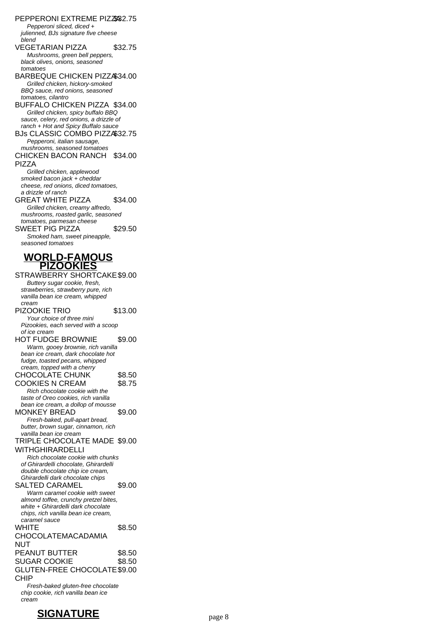PEPPERONI EXTREME PIZZ682.75 Pepperoni sliced, diced + julienned, BJs signature five cheese blend VEGETARIAN PIZZA \$32.75 Mushrooms, green bell peppers, black olives, onions, seasoned tomatoes BARBEQUE CHICKEN PIZZA\$34.00 Grilled chicken, hickory-smoked BBQ sauce, red onions, seasoned tomatoes, cilantro BUFFALO CHICKEN PIZZA \$34.00 Grilled chicken, spicy buffalo BBQ sauce, celery, red onions, a drizzle of ranch + Hot and Spicy Buffalo sauce BJs CLASSIC COMBO PIZZA\$32.75 Pepperoni, italian sausage, mushrooms, seasoned tomatoes CHICKEN BACON RANCH \$34.00 PIZZA Grilled chicken, applewood smoked bacon jack + cheddar cheese, red onions, diced tomatoes, a drizzle of ranch GREAT WHITE PIZZA \$34.00 Grilled chicken, creamy alfredo, mushrooms, roasted garlic, seasoned tomatoes, parmesan cheese SWEET PIG PIZZA \$29.50 Smoked ham, sweet pineapple, seasoned tomatoes **WORLD-FAMOUS PIZOOKIES** STRAWBERRY SHORTCAKE\$9.00 Buttery sugar cookie, fresh, strawberries, strawberry pure, rich vanilla bean ice cream, whipped cream PIZOOKIE TRIO \$13.00 Your choice of three mini Pizookies, each served with a scoop of ice cream HOT FUDGE BROWNIE \$9.00 Warm, gooey brownie, rich vanilla bean ice cream, dark chocolate hot fudge, toasted pecans, whipped cream, topped with a cherry CHOCOLATE CHUNK \$8.50 COOKIES N CREAM \$8.75 Rich chocolate cookie with the taste of Oreo cookies, rich vanilla bean ice cream, a dollop of mousse MONKEY BREAD \$9.00 Fresh-baked, pull-apart bread, butter, brown sugar, cinnamon, rich vanilla bean ice cream TRIPLE CHOCOLATE MADE \$9.00 WITHGHIRARDELLI Rich chocolate cookie with chunks of Ghirardelli chocolate, Ghirardelli double chocolate chip ice cream, Ghirardelli dark chocolate chips SALTED CARAMEL \$9.00 Warm caramel cookie with sweet almond toffee, crunchy pretzel bites, white + Ghirardelli dark chocolate chips, rich vanilla bean ice cream, caramel sauce **WHITE** CHOCOLATEMACADAMIA NUT \$8.50 PEANUT BUTTER \$8.50 SUGAR COOKIE \$8.50 GLUTEN-FREE CHOCOLATE \$9.00 CHIP Fresh-baked gluten-free chocolate

chip cookie, rich vanilla bean ice cream

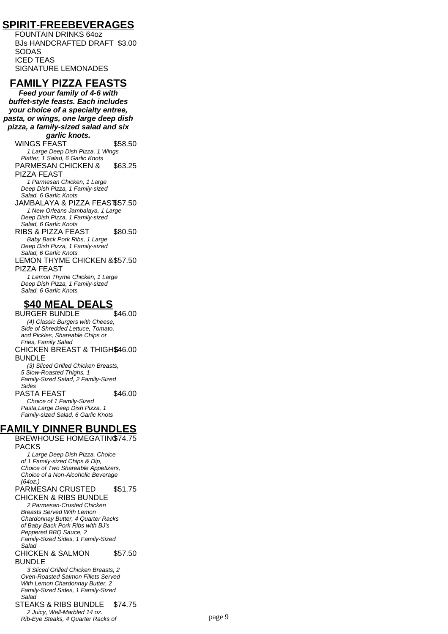# **SPIRIT-FREEBEVERAGES**

FOUNTAIN DRINKS 64oz BJs HANDCRAFTED DRAFT \$3.00 SODAS ICED TEAS SIGNATURE LEMONADES

# **FAMILY PIZZA FEASTS**

**Feed your family of 4-6 with buffet-style feasts. Each includes your choice of a specialty entree, pasta, or wings, one large deep dish pizza, a family-sized salad and six garlic knots.**

WINGS FEAST \$58.50 1 Large Deep Dish Pizza, 1 Wings Platter, 1 Salad, 6 Garlic Knots

PARMESAN CHICKEN & PIZZA FEAST \$63.25

1 Parmesan Chicken, 1 Large Deep Dish Pizza, 1 Family-sized Salad, 6 Garlic Knots

JAMBALAYA & PIZZA FEAST\$57.50 1 New Orleans Jambalaya, 1 Large Deep Dish Pizza, 1 Family-sized Salad, 6 Garlic Knots

RIBS & PIZZA FEAST \$80.50 Baby Back Pork Ribs, 1 Large

Deep Dish Pizza, 1 Family-sized Salad, 6 Garlic Knots

LEMON THYME CHICKEN & \$57.50 PIZZA FEAST

1 Lemon Thyme Chicken, 1 Large Deep Dish Pizza, 1 Family-sized Salad, 6 Garlic Knots

# **\$40 MEAL DEALS**

BURGER BUNDLE \$46.00 (4) Classic Burgers with Cheese, Side of Shredded Lettuce, Tomato, and Pickles, Shareable Chips or Fries, Family Salad CHICKEN BREAST & THIGHS \$46.00 BUNDLE (3) Sliced Grilled Chicken Breasts,

5 Slow-Roasted Thighs, 1 Family-Sized Salad, 2 Family-Sized Sides

PASTA FEAST \$46.00

Choice of 1 Family-Sized Pasta,Large Deep Dish Pizza, 1 Family-sized Salad, 6 Garlic Knots

# **FAMILY DINNER BUNDLES**

BREWHOUSE HOMEGATING \$74.75 PACKS

1 Large Deep Dish Pizza, Choice of 1 Family-sized Chips & Dip, Choice of Two Shareable Appetizers, Choice of a Non-Alcoholic Beverage (64oz.)

PARMESAN CRUSTED \$51.75

CHICKEN & RIBS BUNDLE 2 Parmesan-Crusted Chicken Breasts Served With Lemon Chardonnay Butter, 4 Quarter Racks of Baby Back Pork Ribs with BJ's Peppered BBQ Sauce, 2 Family-Sized Sides, 1 Family-Sized Salad

#### CHICKEN & SALMON BUNDLE \$57.50

3 Sliced Grilled Chicken Breasts, 2 Oven-Roasted Salmon Fillets Served With Lemon Chardonnay Butter, 2 Family-Sized Sides, 1 Family-Sized Salad

STEAKS & RIBS BUNDLE \$74.75 2 Juicy, Well-Marbled 14 oz. Product Construction Construction Construction Product Product Product Product Product Product Product Product<br>Product Product Product Product Product Product Product Product Product Product Product Product Product Produc